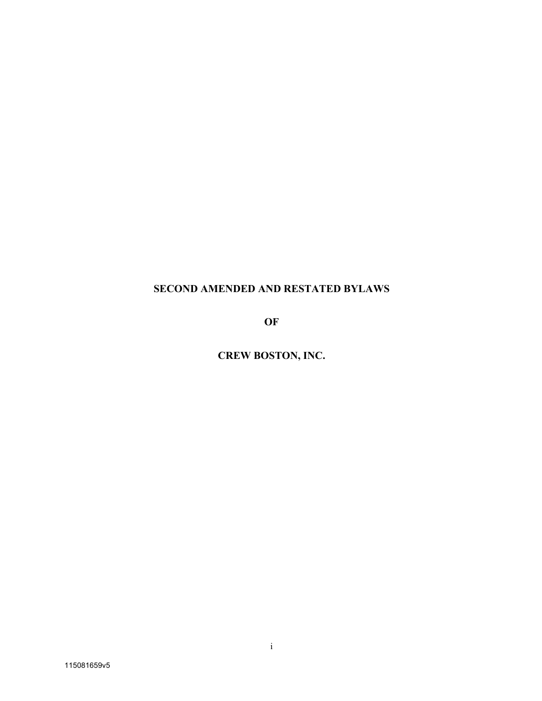# **SECOND AMENDED AND RESTATED BYLAWS**

**OF**

**CREW BOSTON, INC.**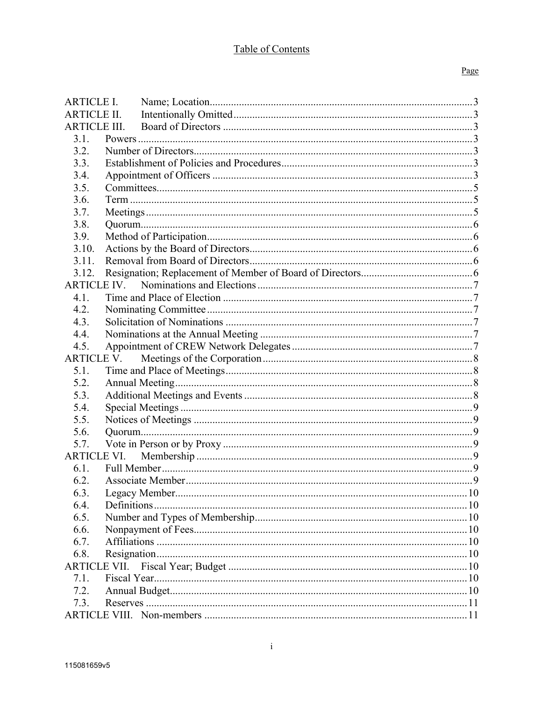# Table of Contents

### Page

| <b>ARTICLE I.</b>   |  |  |  |  |  |
|---------------------|--|--|--|--|--|
| <b>ARTICLE II.</b>  |  |  |  |  |  |
| <b>ARTICLE III.</b> |  |  |  |  |  |
| 3.1.                |  |  |  |  |  |
| 3.2.                |  |  |  |  |  |
| 3.3.                |  |  |  |  |  |
| 3.4.                |  |  |  |  |  |
| 3.5.                |  |  |  |  |  |
| 3.6.                |  |  |  |  |  |
| 3.7.                |  |  |  |  |  |
| 3.8.                |  |  |  |  |  |
| 3.9.                |  |  |  |  |  |
| 3.10.               |  |  |  |  |  |
| 3.11.               |  |  |  |  |  |
| 3.12.               |  |  |  |  |  |
| <b>ARTICLE IV.</b>  |  |  |  |  |  |
| 4.1.                |  |  |  |  |  |
| 4.2.                |  |  |  |  |  |
| 4.3.                |  |  |  |  |  |
| 4.4.                |  |  |  |  |  |
| 4.5.                |  |  |  |  |  |
| <b>ARTICLE V.</b>   |  |  |  |  |  |
| 5.1.                |  |  |  |  |  |
| 5.2.                |  |  |  |  |  |
| 5.3.                |  |  |  |  |  |
| 5.4.                |  |  |  |  |  |
| 5.5.                |  |  |  |  |  |
| 5.6.                |  |  |  |  |  |
| 5.7.                |  |  |  |  |  |
| ARTICLE VI.         |  |  |  |  |  |
| 6.1.                |  |  |  |  |  |
| 6.2.                |  |  |  |  |  |
| 6.3.                |  |  |  |  |  |
| 6.4.                |  |  |  |  |  |
| 6.5.                |  |  |  |  |  |
| 6.6.                |  |  |  |  |  |
| 6.7.                |  |  |  |  |  |
| 6.8.                |  |  |  |  |  |
| <b>ARTICLE VII.</b> |  |  |  |  |  |
| 7.1.                |  |  |  |  |  |
| 7.2.                |  |  |  |  |  |
| 7.3.                |  |  |  |  |  |
|                     |  |  |  |  |  |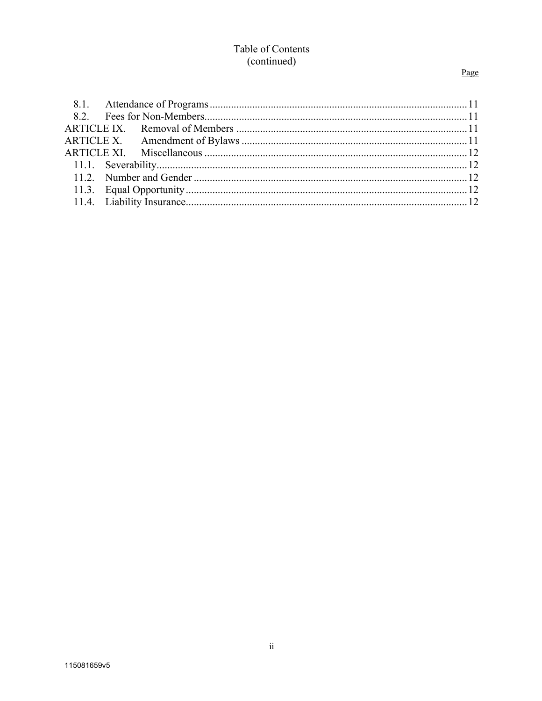# Table of Contents (continued)

# Page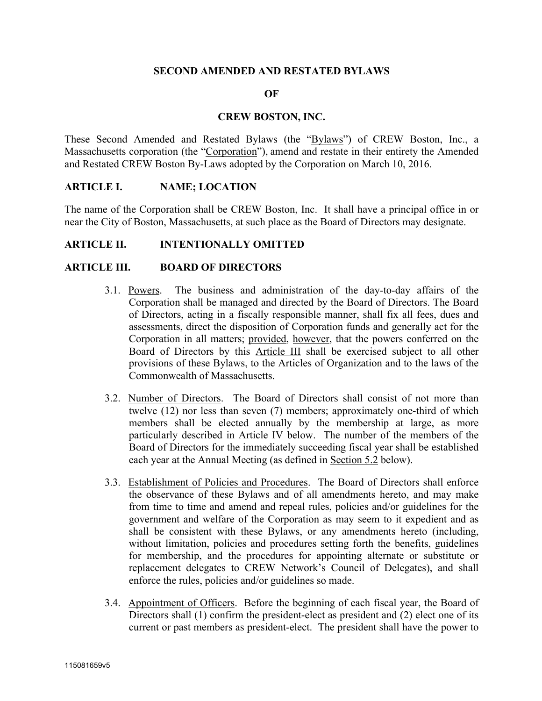### **SECOND AMENDED AND RESTATED BYLAWS**

#### **OF**

#### **CREW BOSTON, INC.**

These Second Amended and Restated Bylaws (the "Bylaws") of CREW Boston, Inc., a Massachusetts corporation (the "Corporation"), amend and restate in their entirety the Amended and Restated CREW Boston By-Laws adopted by the Corporation on March 10, 2016.

#### **ARTICLE I. NAME; LOCATION**

The name of the Corporation shall be CREW Boston, Inc. It shall have a principal office in or near the City of Boston, Massachusetts, at such place as the Board of Directors may designate.

### **ARTICLE II. INTENTIONALLY OMITTED**

#### **ARTICLE III. BOARD OF DIRECTORS**

- 3.1. Powers. The business and administration of the day-to-day affairs of the Corporation shall be managed and directed by the Board of Directors. The Board of Directors, acting in a fiscally responsible manner, shall fix all fees, dues and assessments, direct the disposition of Corporation funds and generally act for the Corporation in all matters; provided, however, that the powers conferred on the Board of Directors by this Article III shall be exercised subject to all other provisions of these Bylaws, to the Articles of Organization and to the laws of the Commonwealth of Massachusetts.
- 3.2. Number of Directors. The Board of Directors shall consist of not more than twelve (12) nor less than seven (7) members; approximately one-third of which members shall be elected annually by the membership at large, as more particularly described in Article IV below. The number of the members of the Board of Directors for the immediately succeeding fiscal year shall be established each year at the Annual Meeting (as defined in Section 5.2 below).
- 3.3. Establishment of Policies and Procedures. The Board of Directors shall enforce the observance of these Bylaws and of all amendments hereto, and may make from time to time and amend and repeal rules, policies and/or guidelines for the government and welfare of the Corporation as may seem to it expedient and as shall be consistent with these Bylaws, or any amendments hereto (including, without limitation, policies and procedures setting forth the benefits, guidelines for membership, and the procedures for appointing alternate or substitute or replacement delegates to CREW Network's Council of Delegates), and shall enforce the rules, policies and/or guidelines so made.
- 3.4. Appointment of Officers. Before the beginning of each fiscal year, the Board of Directors shall (1) confirm the president-elect as president and (2) elect one of its current or past members as president-elect. The president shall have the power to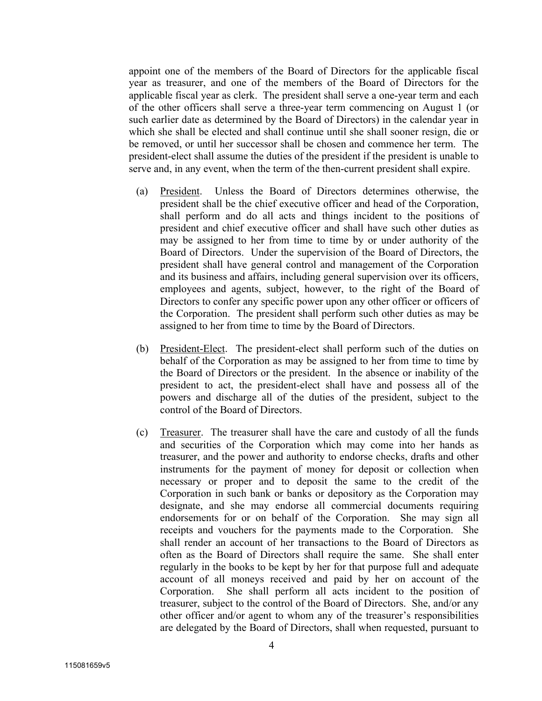appoint one of the members of the Board of Directors for the applicable fiscal year as treasurer, and one of the members of the Board of Directors for the applicable fiscal year as clerk. The president shall serve a one-year term and each of the other officers shall serve a three-year term commencing on August 1 (or such earlier date as determined by the Board of Directors) in the calendar year in which she shall be elected and shall continue until she shall sooner resign, die or be removed, or until her successor shall be chosen and commence her term. The president-elect shall assume the duties of the president if the president is unable to serve and, in any event, when the term of the then-current president shall expire.

- (a) President. Unless the Board of Directors determines otherwise, the president shall be the chief executive officer and head of the Corporation, shall perform and do all acts and things incident to the positions of president and chief executive officer and shall have such other duties as may be assigned to her from time to time by or under authority of the Board of Directors. Under the supervision of the Board of Directors, the president shall have general control and management of the Corporation and its business and affairs, including general supervision over its officers, employees and agents, subject, however, to the right of the Board of Directors to confer any specific power upon any other officer or officers of the Corporation. The president shall perform such other duties as may be assigned to her from time to time by the Board of Directors.
- (b) President-Elect. The president-elect shall perform such of the duties on behalf of the Corporation as may be assigned to her from time to time by the Board of Directors or the president. In the absence or inability of the president to act, the president-elect shall have and possess all of the powers and discharge all of the duties of the president, subject to the control of the Board of Directors.
- (c) Treasurer. The treasurer shall have the care and custody of all the funds and securities of the Corporation which may come into her hands as treasurer, and the power and authority to endorse checks, drafts and other instruments for the payment of money for deposit or collection when necessary or proper and to deposit the same to the credit of the Corporation in such bank or banks or depository as the Corporation may designate, and she may endorse all commercial documents requiring endorsements for or on behalf of the Corporation. She may sign all receipts and vouchers for the payments made to the Corporation. She shall render an account of her transactions to the Board of Directors as often as the Board of Directors shall require the same. She shall enter regularly in the books to be kept by her for that purpose full and adequate account of all moneys received and paid by her on account of the Corporation. She shall perform all acts incident to the position of treasurer, subject to the control of the Board of Directors. She, and/or any other officer and/or agent to whom any of the treasurer's responsibilities are delegated by the Board of Directors, shall when requested, pursuant to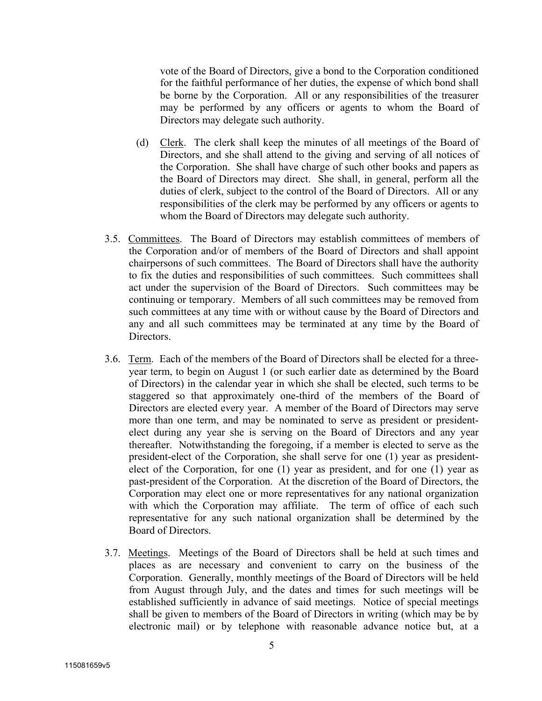vote of the Board of Directors, give a bond to the Corporation conditioned for the faithful performance of her duties, the expense of which bond shall be borne by the Corporation. All or any responsibilities of the treasurer may be performed by any officers or agents to whom the Board of Directors may delegate such authority.

- (d) Clerk. The clerk shall keep the minutes of all meetings of the Board of Directors, and she shall attend to the giving and serving of all notices of the Corporation. She shall have charge of such other books and papers as the Board of Directors may direct. She shall, in general, perform all the duties of clerk, subject to the control of the Board of Directors. All or any responsibilities of the clerk may be performed by any officers or agents to whom the Board of Directors may delegate such authority.
- 3.5. Committees. The Board of Directors may establish committees of members of the Corporation and/or of members of the Board of Directors and shall appoint chairpersons of such committees. The Board of Directors shall have the authority to fix the duties and responsibilities of such committees. Such committees shall act under the supervision of the Board of Directors. Such committees may be continuing or temporary. Members of all such committees may be removed from such committees at any time with or without cause by the Board of Directors and any and all such committees may be terminated at any time by the Board of Directors.
- 3.6. Term. Each of the members of the Board of Directors shall be elected for a threeyear term, to begin on August 1 (or such earlier date as determined by the Board of Directors) in the calendar year in which she shall be elected, such terms to be staggered so that approximately one-third of the members of the Board of Directors are elected every year. A member of the Board of Directors may serve more than one term, and may be nominated to serve as president or presidentelect during any year she is serving on the Board of Directors and any year thereafter. Notwithstanding the foregoing, if a member is elected to serve as the president-elect of the Corporation, she shall serve for one (1) year as presidentelect of the Corporation, for one (1) year as president, and for one (1) year as past-president of the Corporation. At the discretion of the Board of Directors, the Corporation may elect one or more representatives for any national organization with which the Corporation may affiliate. The term of office of each such representative for any such national organization shall be determined by the Board of Directors.
- 3.7. Meetings. Meetings of the Board of Directors shall be held at such times and places as are necessary and convenient to carry on the business of the Corporation. Generally, monthly meetings of the Board of Directors will be held from August through July, and the dates and times for such meetings will be established sufficiently in advance of said meetings. Notice of special meetings shall be given to members of the Board of Directors in writing (which may be by electronic mail) or by telephone with reasonable advance notice but, at a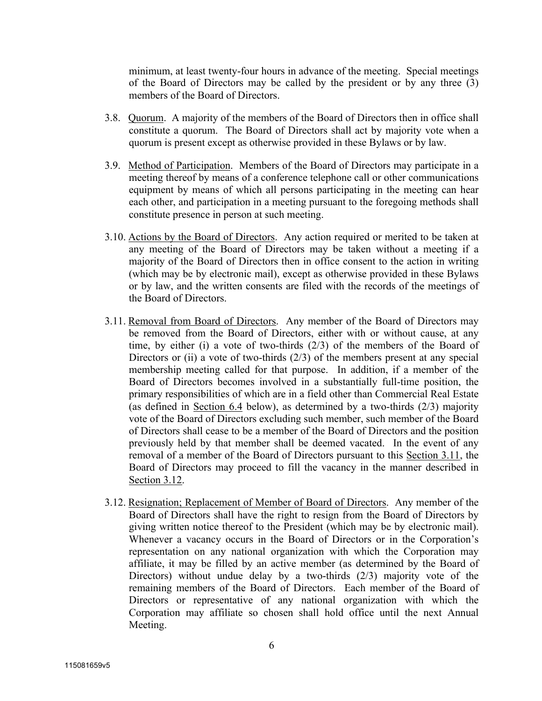minimum, at least twenty-four hours in advance of the meeting. Special meetings of the Board of Directors may be called by the president or by any three (3) members of the Board of Directors.

- 3.8. Quorum. A majority of the members of the Board of Directors then in office shall constitute a quorum. The Board of Directors shall act by majority vote when a quorum is present except as otherwise provided in these Bylaws or by law.
- 3.9. Method of Participation. Members of the Board of Directors may participate in a meeting thereof by means of a conference telephone call or other communications equipment by means of which all persons participating in the meeting can hear each other, and participation in a meeting pursuant to the foregoing methods shall constitute presence in person at such meeting.
- 3.10. Actions by the Board of Directors. Any action required or merited to be taken at any meeting of the Board of Directors may be taken without a meeting if a majority of the Board of Directors then in office consent to the action in writing (which may be by electronic mail), except as otherwise provided in these Bylaws or by law, and the written consents are filed with the records of the meetings of the Board of Directors.
- 3.11. Removal from Board of Directors. Any member of the Board of Directors may be removed from the Board of Directors, either with or without cause, at any time, by either (i) a vote of two-thirds (2/3) of the members of the Board of Directors or (ii) a vote of two-thirds  $(2/3)$  of the members present at any special membership meeting called for that purpose. In addition, if a member of the Board of Directors becomes involved in a substantially full-time position, the primary responsibilities of which are in a field other than Commercial Real Estate (as defined in Section 6.4 below), as determined by a two-thirds (2/3) majority vote of the Board of Directors excluding such member, such member of the Board of Directors shall cease to be a member of the Board of Directors and the position previously held by that member shall be deemed vacated. In the event of any removal of a member of the Board of Directors pursuant to this Section 3.11, the Board of Directors may proceed to fill the vacancy in the manner described in Section 3.12.
- 3.12. Resignation; Replacement of Member of Board of Directors. Any member of the Board of Directors shall have the right to resign from the Board of Directors by giving written notice thereof to the President (which may be by electronic mail). Whenever a vacancy occurs in the Board of Directors or in the Corporation's representation on any national organization with which the Corporation may affiliate, it may be filled by an active member (as determined by the Board of Directors) without undue delay by a two-thirds (2/3) majority vote of the remaining members of the Board of Directors. Each member of the Board of Directors or representative of any national organization with which the Corporation may affiliate so chosen shall hold office until the next Annual Meeting.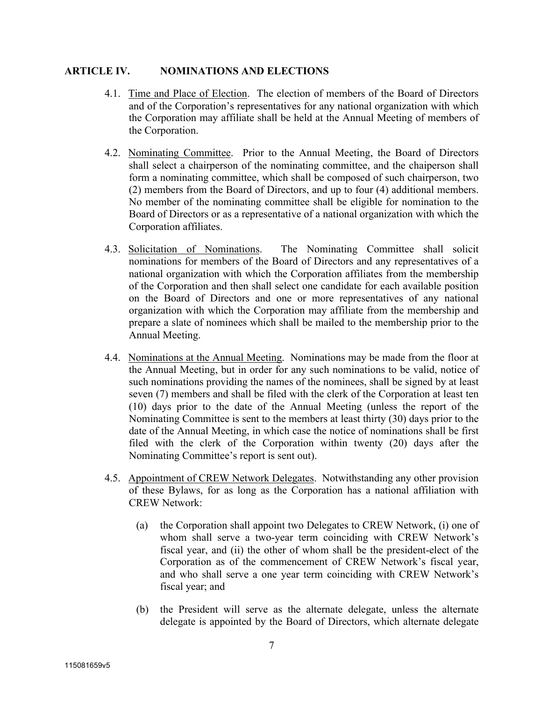# **ARTICLE IV. NOMINATIONS AND ELECTIONS**

- 4.1. Time and Place of Election. The election of members of the Board of Directors and of the Corporation's representatives for any national organization with which the Corporation may affiliate shall be held at the Annual Meeting of members of the Corporation.
- 4.2. Nominating Committee. Prior to the Annual Meeting, the Board of Directors shall select a chairperson of the nominating committee, and the chaiperson shall form a nominating committee, which shall be composed of such chairperson, two (2) members from the Board of Directors, and up to four (4) additional members. No member of the nominating committee shall be eligible for nomination to the Board of Directors or as a representative of a national organization with which the Corporation affiliates.
- 4.3. Solicitation of Nominations. The Nominating Committee shall solicit nominations for members of the Board of Directors and any representatives of a national organization with which the Corporation affiliates from the membership of the Corporation and then shall select one candidate for each available position on the Board of Directors and one or more representatives of any national organization with which the Corporation may affiliate from the membership and prepare a slate of nominees which shall be mailed to the membership prior to the Annual Meeting.
- 4.4. Nominations at the Annual Meeting. Nominations may be made from the floor at the Annual Meeting, but in order for any such nominations to be valid, notice of such nominations providing the names of the nominees, shall be signed by at least seven (7) members and shall be filed with the clerk of the Corporation at least ten (10) days prior to the date of the Annual Meeting (unless the report of the Nominating Committee is sent to the members at least thirty (30) days prior to the date of the Annual Meeting, in which case the notice of nominations shall be first filed with the clerk of the Corporation within twenty (20) days after the Nominating Committee's report is sent out).
- 4.5. Appointment of CREW Network Delegates. Notwithstanding any other provision of these Bylaws, for as long as the Corporation has a national affiliation with CREW Network:
	- (a) the Corporation shall appoint two Delegates to CREW Network, (i) one of whom shall serve a two-year term coinciding with CREW Network's fiscal year, and (ii) the other of whom shall be the president-elect of the Corporation as of the commencement of CREW Network's fiscal year, and who shall serve a one year term coinciding with CREW Network's fiscal year; and
	- (b) the President will serve as the alternate delegate, unless the alternate delegate is appointed by the Board of Directors, which alternate delegate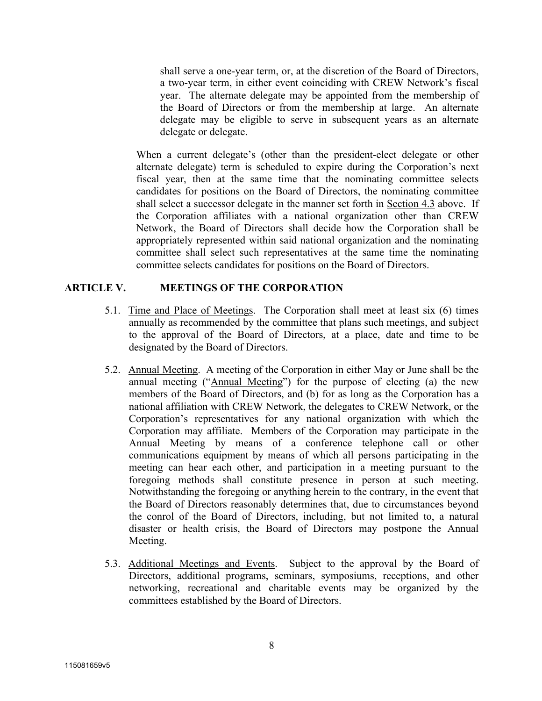shall serve a one-year term, or, at the discretion of the Board of Directors, a two-year term, in either event coinciding with CREW Network's fiscal year. The alternate delegate may be appointed from the membership of the Board of Directors or from the membership at large. An alternate delegate may be eligible to serve in subsequent years as an alternate delegate or delegate.

When a current delegate's (other than the president-elect delegate or other alternate delegate) term is scheduled to expire during the Corporation's next fiscal year, then at the same time that the nominating committee selects candidates for positions on the Board of Directors, the nominating committee shall select a successor delegate in the manner set forth in Section 4.3 above. If the Corporation affiliates with a national organization other than CREW Network, the Board of Directors shall decide how the Corporation shall be appropriately represented within said national organization and the nominating committee shall select such representatives at the same time the nominating committee selects candidates for positions on the Board of Directors.

# **ARTICLE V. MEETINGS OF THE CORPORATION**

- 5.1. Time and Place of Meetings. The Corporation shall meet at least six (6) times annually as recommended by the committee that plans such meetings, and subject to the approval of the Board of Directors, at a place, date and time to be designated by the Board of Directors.
- 5.2. Annual Meeting. A meeting of the Corporation in either May or June shall be the annual meeting ("Annual Meeting") for the purpose of electing (a) the new members of the Board of Directors, and (b) for as long as the Corporation has a national affiliation with CREW Network, the delegates to CREW Network, or the Corporation's representatives for any national organization with which the Corporation may affiliate. Members of the Corporation may participate in the Annual Meeting by means of a conference telephone call or other communications equipment by means of which all persons participating in the meeting can hear each other, and participation in a meeting pursuant to the foregoing methods shall constitute presence in person at such meeting. Notwithstanding the foregoing or anything herein to the contrary, in the event that the Board of Directors reasonably determines that, due to circumstances beyond the conrol of the Board of Directors, including, but not limited to, a natural disaster or health crisis, the Board of Directors may postpone the Annual Meeting.
- 5.3. Additional Meetings and Events. Subject to the approval by the Board of Directors, additional programs, seminars, symposiums, receptions, and other networking, recreational and charitable events may be organized by the committees established by the Board of Directors.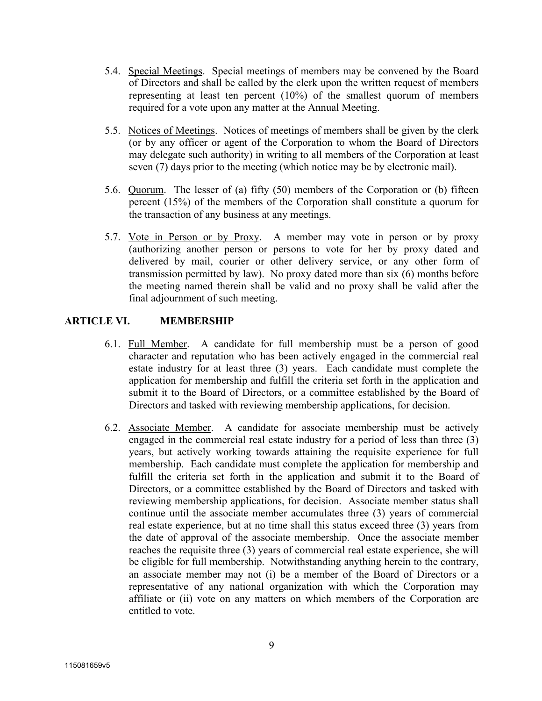- 5.4. Special Meetings. Special meetings of members may be convened by the Board of Directors and shall be called by the clerk upon the written request of members representing at least ten percent (10%) of the smallest quorum of members required for a vote upon any matter at the Annual Meeting.
- 5.5. Notices of Meetings. Notices of meetings of members shall be given by the clerk (or by any officer or agent of the Corporation to whom the Board of Directors may delegate such authority) in writing to all members of the Corporation at least seven (7) days prior to the meeting (which notice may be by electronic mail).
- 5.6. Quorum. The lesser of (a) fifty (50) members of the Corporation or (b) fifteen percent (15%) of the members of the Corporation shall constitute a quorum for the transaction of any business at any meetings.
- 5.7. Vote in Person or by Proxy. A member may vote in person or by proxy (authorizing another person or persons to vote for her by proxy dated and delivered by mail, courier or other delivery service, or any other form of transmission permitted by law). No proxy dated more than six (6) months before the meeting named therein shall be valid and no proxy shall be valid after the final adjournment of such meeting.

# **ARTICLE VI. MEMBERSHIP**

- 6.1. Full Member. A candidate for full membership must be a person of good character and reputation who has been actively engaged in the commercial real estate industry for at least three (3) years. Each candidate must complete the application for membership and fulfill the criteria set forth in the application and submit it to the Board of Directors, or a committee established by the Board of Directors and tasked with reviewing membership applications, for decision.
- 6.2. Associate Member. A candidate for associate membership must be actively engaged in the commercial real estate industry for a period of less than three (3) years, but actively working towards attaining the requisite experience for full membership. Each candidate must complete the application for membership and fulfill the criteria set forth in the application and submit it to the Board of Directors, or a committee established by the Board of Directors and tasked with reviewing membership applications, for decision. Associate member status shall continue until the associate member accumulates three (3) years of commercial real estate experience, but at no time shall this status exceed three (3) years from the date of approval of the associate membership. Once the associate member reaches the requisite three (3) years of commercial real estate experience, she will be eligible for full membership. Notwithstanding anything herein to the contrary, an associate member may not (i) be a member of the Board of Directors or a representative of any national organization with which the Corporation may affiliate or (ii) vote on any matters on which members of the Corporation are entitled to vote.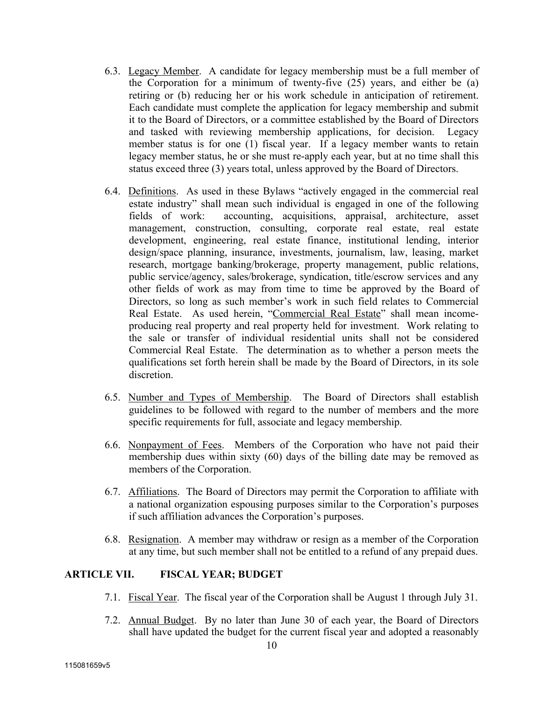- 6.3. Legacy Member. A candidate for legacy membership must be a full member of the Corporation for a minimum of twenty-five (25) years, and either be (a) retiring or (b) reducing her or his work schedule in anticipation of retirement. Each candidate must complete the application for legacy membership and submit it to the Board of Directors, or a committee established by the Board of Directors and tasked with reviewing membership applications, for decision. Legacy member status is for one (1) fiscal year. If a legacy member wants to retain legacy member status, he or she must re-apply each year, but at no time shall this status exceed three (3) years total, unless approved by the Board of Directors.
- 6.4. Definitions. As used in these Bylaws "actively engaged in the commercial real estate industry" shall mean such individual is engaged in one of the following fields of work: accounting, acquisitions, appraisal, architecture, asset management, construction, consulting, corporate real estate, real estate development, engineering, real estate finance, institutional lending, interior design/space planning, insurance, investments, journalism, law, leasing, market research, mortgage banking/brokerage, property management, public relations, public service/agency, sales/brokerage, syndication, title/escrow services and any other fields of work as may from time to time be approved by the Board of Directors, so long as such member's work in such field relates to Commercial Real Estate. As used herein, "Commercial Real Estate" shall mean incomeproducing real property and real property held for investment. Work relating to the sale or transfer of individual residential units shall not be considered Commercial Real Estate. The determination as to whether a person meets the qualifications set forth herein shall be made by the Board of Directors, in its sole discretion.
- 6.5. Number and Types of Membership. The Board of Directors shall establish guidelines to be followed with regard to the number of members and the more specific requirements for full, associate and legacy membership.
- 6.6. Nonpayment of Fees. Members of the Corporation who have not paid their membership dues within sixty (60) days of the billing date may be removed as members of the Corporation.
- 6.7. Affiliations. The Board of Directors may permit the Corporation to affiliate with a national organization espousing purposes similar to the Corporation's purposes if such affiliation advances the Corporation's purposes.
- 6.8. Resignation. A member may withdraw or resign as a member of the Corporation at any time, but such member shall not be entitled to a refund of any prepaid dues.

# **ARTICLE VII. FISCAL YEAR; BUDGET**

- 7.1. Fiscal Year. The fiscal year of the Corporation shall be August 1 through July 31.
- 7.2. Annual Budget. By no later than June 30 of each year, the Board of Directors shall have updated the budget for the current fiscal year and adopted a reasonably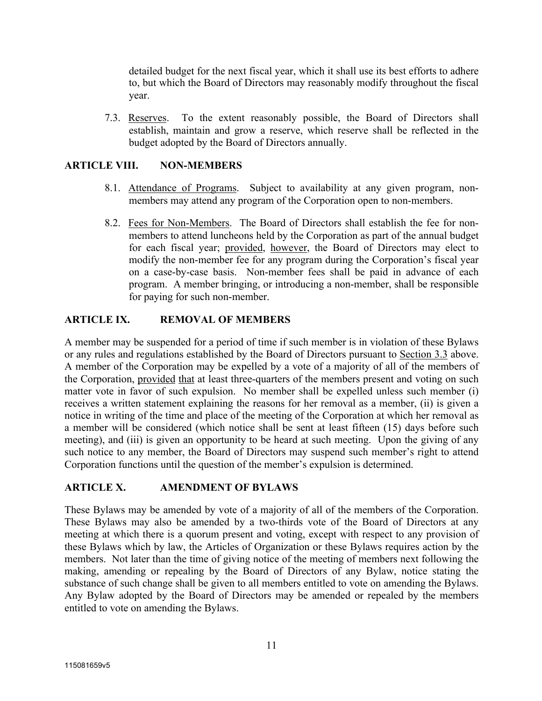detailed budget for the next fiscal year, which it shall use its best efforts to adhere to, but which the Board of Directors may reasonably modify throughout the fiscal year.

7.3. Reserves. To the extent reasonably possible, the Board of Directors shall establish, maintain and grow a reserve, which reserve shall be reflected in the budget adopted by the Board of Directors annually.

### **ARTICLE VIII. NON-MEMBERS**

- 8.1. Attendance of Programs. Subject to availability at any given program, nonmembers may attend any program of the Corporation open to non-members.
- 8.2. Fees for Non-Members. The Board of Directors shall establish the fee for nonmembers to attend luncheons held by the Corporation as part of the annual budget for each fiscal year; provided, however, the Board of Directors may elect to modify the non-member fee for any program during the Corporation's fiscal year on a case-by-case basis. Non-member fees shall be paid in advance of each program. A member bringing, or introducing a non-member, shall be responsible for paying for such non-member.

# **ARTICLE IX. REMOVAL OF MEMBERS**

A member may be suspended for a period of time if such member is in violation of these Bylaws or any rules and regulations established by the Board of Directors pursuant to Section 3.3 above. A member of the Corporation may be expelled by a vote of a majority of all of the members of the Corporation, provided that at least three-quarters of the members present and voting on such matter vote in favor of such expulsion. No member shall be expelled unless such member (i) receives a written statement explaining the reasons for her removal as a member, (ii) is given a notice in writing of the time and place of the meeting of the Corporation at which her removal as a member will be considered (which notice shall be sent at least fifteen (15) days before such meeting), and (iii) is given an opportunity to be heard at such meeting. Upon the giving of any such notice to any member, the Board of Directors may suspend such member's right to attend Corporation functions until the question of the member's expulsion is determined.

# **ARTICLE X. AMENDMENT OF BYLAWS**

These Bylaws may be amended by vote of a majority of all of the members of the Corporation. These Bylaws may also be amended by a two-thirds vote of the Board of Directors at any meeting at which there is a quorum present and voting, except with respect to any provision of these Bylaws which by law, the Articles of Organization or these Bylaws requires action by the members. Not later than the time of giving notice of the meeting of members next following the making, amending or repealing by the Board of Directors of any Bylaw, notice stating the substance of such change shall be given to all members entitled to vote on amending the Bylaws. Any Bylaw adopted by the Board of Directors may be amended or repealed by the members entitled to vote on amending the Bylaws.